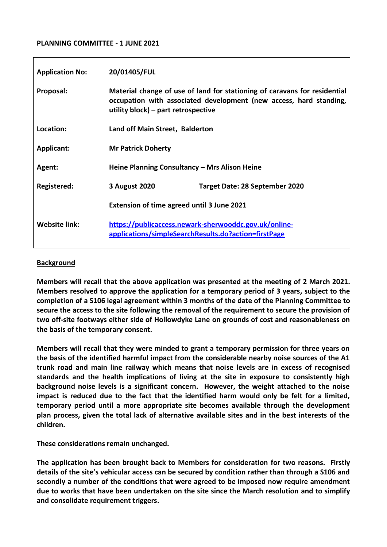### **PLANNING COMMITTEE - 1 JUNE 2021**

| <b>Application No:</b> | 20/01405/FUL                                                                                                                                                                           |                                |
|------------------------|----------------------------------------------------------------------------------------------------------------------------------------------------------------------------------------|--------------------------------|
| Proposal:              | Material change of use of land for stationing of caravans for residential<br>occupation with associated development (new access, hard standing,<br>utility block) – part retrospective |                                |
| Location:              | Land off Main Street, Balderton                                                                                                                                                        |                                |
| Applicant:             | <b>Mr Patrick Doherty</b>                                                                                                                                                              |                                |
| Agent:                 | Heine Planning Consultancy - Mrs Alison Heine                                                                                                                                          |                                |
| Registered:            | 3 August 2020                                                                                                                                                                          | Target Date: 28 September 2020 |
|                        | Extension of time agreed until 3 June 2021                                                                                                                                             |                                |
| Website link:          | https://publicaccess.newark-sherwooddc.gov.uk/online-<br>applications/simpleSearchResults.do?action=firstPage                                                                          |                                |

### **Background**

**Members will recall that the above application was presented at the meeting of 2 March 2021. Members resolved to approve the application for a temporary period of 3 years, subject to the completion of a S106 legal agreement within 3 months of the date of the Planning Committee to secure the access to the site following the removal of the requirement to secure the provision of two off-site footways either side of Hollowdyke Lane on grounds of cost and reasonableness on the basis of the temporary consent.** 

**Members will recall that they were minded to grant a temporary permission for three years on the basis of the identified harmful impact from the considerable nearby noise sources of the A1 trunk road and main line railway which means that noise levels are in excess of recognised standards and the health implications of living at the site in exposure to consistently high background noise levels is a significant concern. However, the weight attached to the noise impact is reduced due to the fact that the identified harm would only be felt for a limited, temporary period until a more appropriate site becomes available through the development plan process, given the total lack of alternative available sites and in the best interests of the children.**

**These considerations remain unchanged.**

**The application has been brought back to Members for consideration for two reasons. Firstly details of the site's vehicular access can be secured by condition rather than through a S106 and secondly a number of the conditions that were agreed to be imposed now require amendment due to works that have been undertaken on the site since the March resolution and to simplify and consolidate requirement triggers.**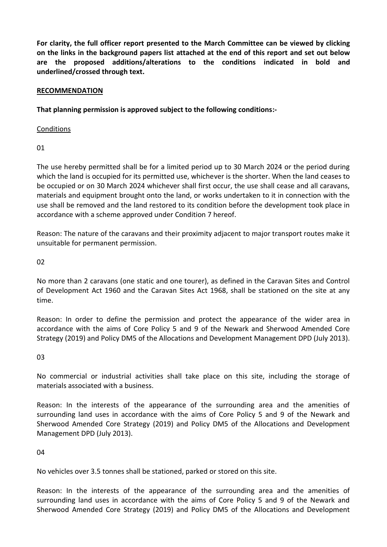**For clarity, the full officer report presented to the March Committee can be viewed by clicking on the links in the background papers list attached at the end of this report and set out below are the proposed additions/alterations to the conditions indicated in bold and underlined/crossed through text.** 

## **RECOMMENDATION**

**That planning permission is approved subject to the following conditions:-**

**Conditions** 

01

The use hereby permitted shall be for a limited period up to 30 March 2024 or the period during which the land is occupied for its permitted use, whichever is the shorter. When the land ceases to be occupied or on 30 March 2024 whichever shall first occur, the use shall cease and all caravans, materials and equipment brought onto the land, or works undertaken to it in connection with the use shall be removed and the land restored to its condition before the development took place in accordance with a scheme approved under Condition 7 hereof.

Reason: The nature of the caravans and their proximity adjacent to major transport routes make it unsuitable for permanent permission.

02

No more than 2 caravans (one static and one tourer), as defined in the Caravan Sites and Control of Development Act 1960 and the Caravan Sites Act 1968, shall be stationed on the site at any time.

Reason: In order to define the permission and protect the appearance of the wider area in accordance with the aims of Core Policy 5 and 9 of the Newark and Sherwood Amended Core Strategy (2019) and Policy DM5 of the Allocations and Development Management DPD (July 2013).

03

No commercial or industrial activities shall take place on this site, including the storage of materials associated with a business.

Reason: In the interests of the appearance of the surrounding area and the amenities of surrounding land uses in accordance with the aims of Core Policy 5 and 9 of the Newark and Sherwood Amended Core Strategy (2019) and Policy DM5 of the Allocations and Development Management DPD (July 2013).

04

No vehicles over 3.5 tonnes shall be stationed, parked or stored on this site.

Reason: In the interests of the appearance of the surrounding area and the amenities of surrounding land uses in accordance with the aims of Core Policy 5 and 9 of the Newark and Sherwood Amended Core Strategy (2019) and Policy DM5 of the Allocations and Development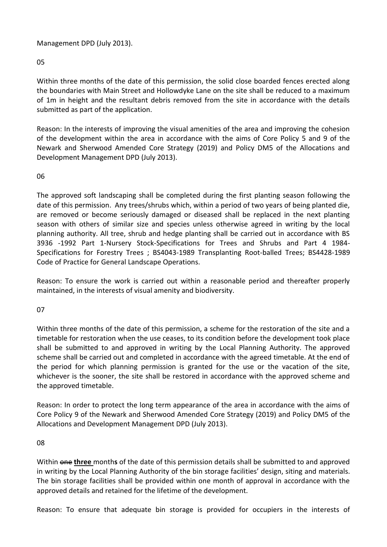## Management DPD (July 2013).

## 05

Within three months of the date of this permission, the solid close boarded fences erected along the boundaries with Main Street and Hollowdyke Lane on the site shall be reduced to a maximum of 1m in height and the resultant debris removed from the site in accordance with the details submitted as part of the application.

Reason: In the interests of improving the visual amenities of the area and improving the cohesion of the development within the area in accordance with the aims of Core Policy 5 and 9 of the Newark and Sherwood Amended Core Strategy (2019) and Policy DM5 of the Allocations and Development Management DPD (July 2013).

## 06

The approved soft landscaping shall be completed during the first planting season following the date of this permission. Any trees/shrubs which, within a period of two years of being planted die, are removed or become seriously damaged or diseased shall be replaced in the next planting season with others of similar size and species unless otherwise agreed in writing by the local planning authority. All tree, shrub and hedge planting shall be carried out in accordance with BS 3936 -1992 Part 1-Nursery Stock-Specifications for Trees and Shrubs and Part 4 1984- Specifications for Forestry Trees ; BS4043-1989 Transplanting Root-balled Trees; BS4428-1989 Code of Practice for General Landscape Operations.

Reason: To ensure the work is carried out within a reasonable period and thereafter properly maintained, in the interests of visual amenity and biodiversity.

### 07

Within three months of the date of this permission, a scheme for the restoration of the site and a timetable for restoration when the use ceases, to its condition before the development took place shall be submitted to and approved in writing by the Local Planning Authority. The approved scheme shall be carried out and completed in accordance with the agreed timetable. At the end of the period for which planning permission is granted for the use or the vacation of the site, whichever is the sooner, the site shall be restored in accordance with the approved scheme and the approved timetable.

Reason: In order to protect the long term appearance of the area in accordance with the aims of Core Policy 9 of the Newark and Sherwood Amended Core Strategy (2019) and Policy DM5 of the Allocations and Development Management DPD (July 2013).

### 08

Within one **three** month**s** of the date of this permission details shall be submitted to and approved in writing by the Local Planning Authority of the bin storage facilities' design, siting and materials. The bin storage facilities shall be provided within one month of approval in accordance with the approved details and retained for the lifetime of the development.

Reason: To ensure that adequate bin storage is provided for occupiers in the interests of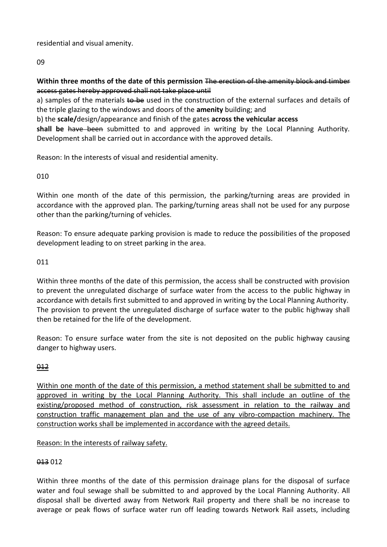residential and visual amenity.

09

# **Within three months of the date of this permission** The erection of the amenity block and timber access gates hereby approved shall not take place until

a) samples of the materials to be used in the construction of the external surfaces and details of the triple glazing to the windows and doors of the **amenity** building; and

b) the **scale/**design/appearance and finish of the gates **across the vehicular access**

**shall be** have been submitted to and approved in writing by the Local Planning Authority. Development shall be carried out in accordance with the approved details.

Reason: In the interests of visual and residential amenity.

010

Within one month of the date of this permission, the parking/turning areas are provided in accordance with the approved plan. The parking/turning areas shall not be used for any purpose other than the parking/turning of vehicles.

Reason: To ensure adequate parking provision is made to reduce the possibilities of the proposed development leading to on street parking in the area.

011

Within three months of the date of this permission, the access shall be constructed with provision to prevent the unregulated discharge of surface water from the access to the public highway in accordance with details first submitted to and approved in writing by the Local Planning Authority. The provision to prevent the unregulated discharge of surface water to the public highway shall then be retained for the life of the development.

Reason: To ensure surface water from the site is not deposited on the public highway causing danger to highway users.

012

Within one month of the date of this permission, a method statement shall be submitted to and approved in writing by the Local Planning Authority. This shall include an outline of the existing/proposed method of construction, risk assessment in relation to the railway and construction traffic management plan and the use of any vibro-compaction machinery. The construction works shall be implemented in accordance with the agreed details.

Reason: In the interests of railway safety.

013 012

Within three months of the date of this permission drainage plans for the disposal of surface water and foul sewage shall be submitted to and approved by the Local Planning Authority. All disposal shall be diverted away from Network Rail property and there shall be no increase to average or peak flows of surface water run off leading towards Network Rail assets, including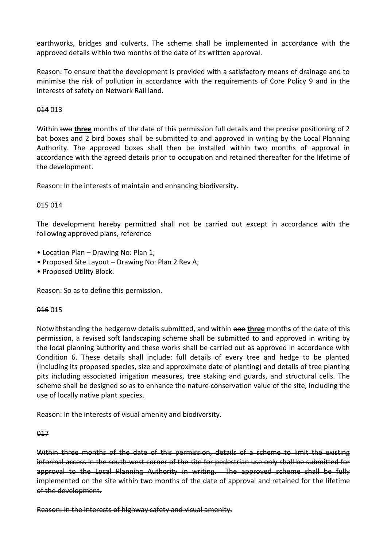earthworks, bridges and culverts. The scheme shall be implemented in accordance with the approved details within two months of the date of its written approval.

Reason: To ensure that the development is provided with a satisfactory means of drainage and to minimise the risk of pollution in accordance with the requirements of Core Policy 9 and in the interests of safety on Network Rail land.

## 014 013

Within two three months of the date of this permission full details and the precise positioning of 2 bat boxes and 2 bird boxes shall be submitted to and approved in writing by the Local Planning Authority. The approved boxes shall then be installed within two months of approval in accordance with the agreed details prior to occupation and retained thereafter for the lifetime of the development.

Reason: In the interests of maintain and enhancing biodiversity.

### 015 014

The development hereby permitted shall not be carried out except in accordance with the following approved plans, reference

- Location Plan Drawing No: Plan 1;
- Proposed Site Layout Drawing No: Plan 2 Rev A;
- Proposed Utility Block.

Reason: So as to define this permission.

### 016 015

Notwithstanding the hedgerow details submitted, and within one **three** month**s** of the date of this permission, a revised soft landscaping scheme shall be submitted to and approved in writing by the local planning authority and these works shall be carried out as approved in accordance with Condition 6. These details shall include: full details of every tree and hedge to be planted (including its proposed species, size and approximate date of planting) and details of tree planting pits including associated irrigation measures, tree staking and guards, and structural cells. The scheme shall be designed so as to enhance the nature conservation value of the site, including the use of locally native plant species.

Reason: In the interests of visual amenity and biodiversity.

#### 017

Within three months of the date of this permission, details of a scheme to limit the existing informal access in the south-west corner of the site for pedestrian use only shall be submitted for approval to the Local Planning Authority in writing. The approved scheme shall be fully implemented on the site within two months of the date of approval and retained for the lifetime of the development.

Reason: In the interests of highway safety and visual amenity.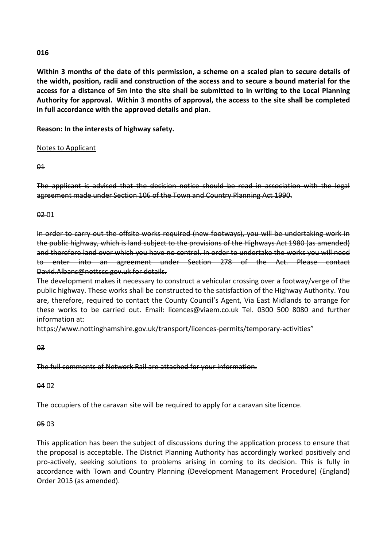## **016**

**Within 3 months of the date of this permission, a scheme on a scaled plan to secure details of the width, position, radii and construction of the access and to secure a bound material for the access for a distance of 5m into the site shall be submitted to in writing to the Local Planning Authority for approval. Within 3 months of approval, the access to the site shall be completed in full accordance with the approved details and plan.**

**Reason: In the interests of highway safety.**

# Notes to Applicant

## $\theta$ <sup>1</sup>

The applicant is advised that the decision notice should be read in association with the legal agreement made under Section 106 of the Town and Country Planning Act 1990.

## 02 01

In order to carry out the offsite works required (new footways), you will be undertaking work in the public highway, which is land subject to the provisions of the Highways Act 1980 (as amended) and therefore land over which you have no control. In order to undertake the works you will need enter into an agreement under Section 278 of the Act. Please contact David.Albans@nottscc.gov.uk for details.

The development makes it necessary to construct a vehicular crossing over a footway/verge of the public highway. These works shall be constructed to the satisfaction of the Highway Authority. You are, therefore, required to contact the County Council's Agent, Via East Midlands to arrange for these works to be carried out. Email: licences@viaem.co.uk Tel. 0300 500 8080 and further information at:

https://www.nottinghamshire.gov.uk/transport/licences-permits/temporary-activities"

# $03$

# The full comments of Network Rail are attached for your information.

# 04 02

The occupiers of the caravan site will be required to apply for a caravan site licence.

# 05 03

This application has been the subject of discussions during the application process to ensure that the proposal is acceptable. The District Planning Authority has accordingly worked positively and pro-actively, seeking solutions to problems arising in coming to its decision. This is fully in accordance with Town and Country Planning (Development Management Procedure) (England) Order 2015 (as amended).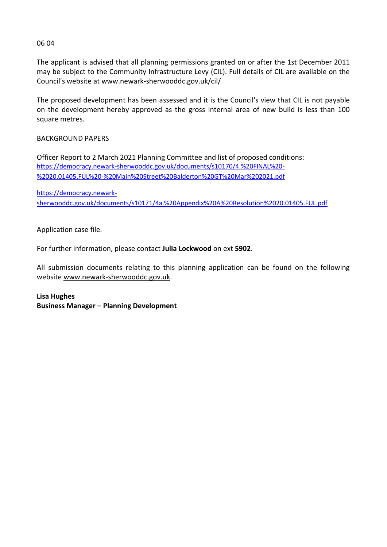The applicant is advised that all planning permissions granted on or after the 1st December 2011 may be subject to the Community Infrastructure Levy (CIL). Full details of CIL are available on the Council's website at www.newark-sherwooddc.gov.uk/cil/

The proposed development has been assessed and it is the Council's view that CIL is not payable on the development hereby approved as the gross internal area of new build is less than 100 square metres.

# BACKGROUND PAPERS

Officer Report to 2 March 2021 Planning Committee and list of proposed conditions: [https://democracy.newark-sherwooddc.gov.uk/documents/s10170/4.%20FINAL%20-](https://democracy.newark-sherwooddc.gov.uk/documents/s10170/4.%20FINAL%20-%2020.01405.FUL%20-%20Main%20Street%20Balderton%20GT%20Mar%202021.pdf) [%2020.01405.FUL%20-%20Main%20Street%20Balderton%20GT%20Mar%202021.pdf](https://democracy.newark-sherwooddc.gov.uk/documents/s10170/4.%20FINAL%20-%2020.01405.FUL%20-%20Main%20Street%20Balderton%20GT%20Mar%202021.pdf)

[https://democracy.newark](https://democracy.newark-sherwooddc.gov.uk/documents/s10171/4a.%20Appendix%20A%20Resolution%2020.01405.FUL.pdf)[sherwooddc.gov.uk/documents/s10171/4a.%20Appendix%20A%20Resolution%2020.01405.FUL.pdf](https://democracy.newark-sherwooddc.gov.uk/documents/s10171/4a.%20Appendix%20A%20Resolution%2020.01405.FUL.pdf)

Application case file.

For further information, please contact **Julia Lockwood** on ext **5902**.

All submission documents relating to this planning application can be found on the following websit[e www.newark-sherwooddc.gov.uk.](http://www.newark-sherwooddc.gov.uk/)

**Lisa Hughes Business Manager – Planning Development**

06 04